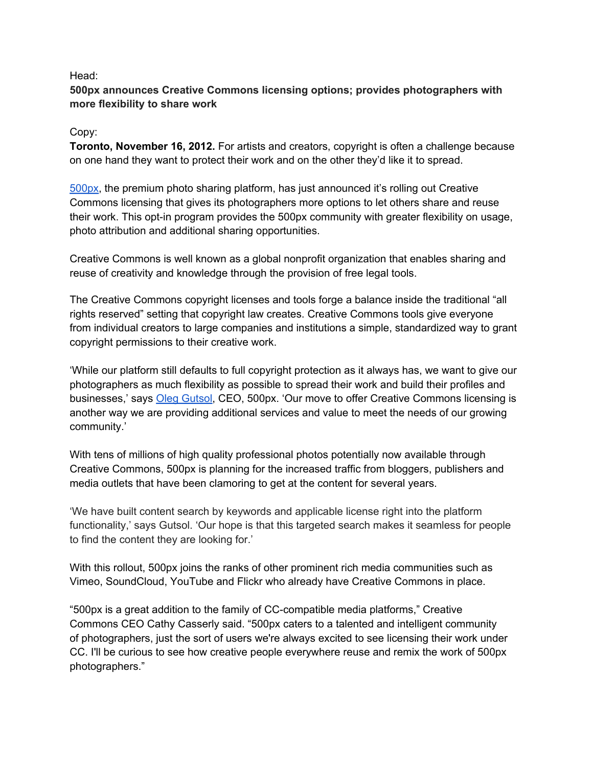#### Head:

# **500px announces Creative Commons licensing options; provides photographers with more flexibility to share work**

## Copy:

**Toronto, November 16, 2012.** For artists and creators, copyright is often a challenge because on one hand they want to protect their work and on the other they'd like it to spread.

[500px,](http://500px.com) the premium photo sharing platform, has just announced it's rolling out Creative Commons licensing that gives its photographers more options to let others share and reuse their work. This opt-in program provides the 500px community with greater flexibility on usage, photo attribution and additional sharing opportunities.

Creative Commons is well known as a global nonprofit organization that enables sharing and reuse of creativity and knowledge through the provision of free legal tools.

The Creative Commons copyright licenses and tools forge a balance inside the traditional "all rights reserved" setting that copyright law creates. Creative Commons tools give everyone from individual creators to large companies and institutions a simple, standardized way to grant copyright permissions to their creative work.

'While our platform still defaults to full copyright protection as it always has, we want to give our photographers as much flexibility as possible to spread their work and build their profiles and businesses,' says [Oleg](http://500px.com/oleggutsol) [Gutsol](http://500px.com/oleggutsol), CEO, 500px. 'Our move to offer Creative Commons licensing is another way we are providing additional services and value to meet the needs of our growing community.'

With tens of millions of high quality professional photos potentially now available through Creative Commons, 500px is planning for the increased traffic from bloggers, publishers and media outlets that have been clamoring to get at the content for several years.

'We have built content search by keywords and applicable license right into the platform functionality,' says Gutsol. 'Our hope is that this targeted search makes it seamless for people to find the content they are looking for.'

With this rollout, 500px joins the ranks of other prominent rich media communities such as Vimeo, SoundCloud, YouTube and Flickr who already have Creative Commons in place.

"500px is a great addition to the family of CC-compatible media platforms," Creative Commons CEO Cathy Casserly said. "500px caters to a talented and intelligent community of photographers, just the sort of users we're always excited to see licensing their work under CC. I'll be curious to see how creative people everywhere reuse and remix the work of 500px photographers."